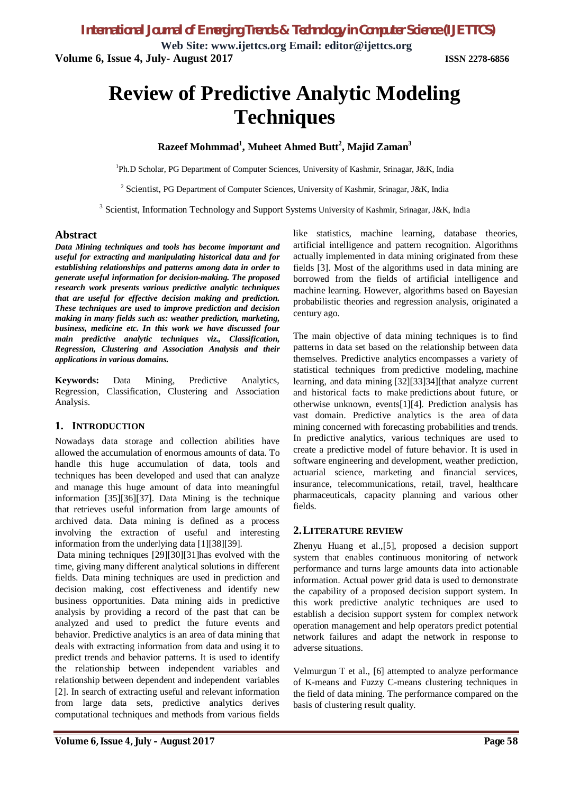**Web Site: www.ijettcs.org Email: editor@ijettcs.org Volume 6, Issue 4, July- August 2017 ISSN 2278-6856**

# **Review of Predictive Analytic Modeling Techniques**

# **Razeef Mohmmad<sup>1</sup> , Muheet Ahmed Butt<sup>2</sup> , Majid Zaman<sup>3</sup>**

<sup>1</sup>Ph.D Scholar, PG Department of Computer Sciences, University of Kashmir, Srinagar, J&K, India

<sup>2</sup> Scientist, PG Department of Computer Sciences, University of Kashmir, Srinagar, J&K, India

<sup>3</sup> Scientist, Information Technology and Support Systems University of Kashmir, Srinagar, J&K, India

#### **Abstract**

*Data Mining techniques and tools has become important and useful for extracting and manipulating historical data and for establishing relationships and patterns among data in order to generate useful information for decision-making. The proposed research work presents various predictive analytic techniques that are useful for effective decision making and prediction. These techniques are used to improve prediction and decision making in many fields such as: weather prediction, marketing, business, medicine etc. In this work we have discussed four main predictive analytic techniques viz., Classification, Regression, Clustering and Association Analysis and their applications in various domains.*

**Keywords:** Data Mining, Predictive Analytics, Regression, Classification, Clustering and Association Analysis.

#### **1. INTRODUCTION**

Nowadays data storage and collection abilities have allowed the accumulation of enormous amounts of data. To handle this huge accumulation of data, tools and techniques has been developed and used that can analyze and manage this huge amount of data into meaningful information [35][36][37]. Data Mining is the technique that retrieves useful information from large amounts of archived data. Data mining is defined as a process involving the extraction of useful and interesting information from the underlying data [1][38][39].

Data mining techniques [29][30][31]has evolved with the time, giving many different analytical solutions in different fields. Data mining techniques are used in prediction and decision making, cost effectiveness and identify new business opportunities. Data mining aids in predictive analysis by providing a record of the past that can be analyzed and used to predict the future events and behavior. Predictive analytics is an area of data mining that deals with extracting information from data and using it to predict trends and behavior patterns. It is used to identify the relationship between independent variables and relationship between dependent and independent variables [2]. In search of extracting useful and relevant information from large data sets, predictive analytics derives computational techniques and methods from various fields like statistics, machine learning, database theories, artificial intelligence and pattern recognition. Algorithms actually implemented in data mining originated from these fields [3]. Most of the algorithms used in data mining are borrowed from the fields of artificial intelligence and machine learning. However, algorithms based on Bayesian probabilistic theories and regression analysis, originated a century ago.

The main objective of data mining techniques is to find patterns in data set based on the relationship between data themselves. Predictive analytics encompasses a variety of statistical techniques from predictive modeling, machine learning, and data mining [32][33]34][that analyze current and historical facts to make predictions about future, or otherwise unknown, events[1][4]. Prediction analysis has vast domain. Predictive analytics is the area of data mining concerned with forecasting probabilities and trends. In predictive analytics, various techniques are used to create a predictive model of future behavior. It is used in software engineering and development, weather prediction, actuarial science, marketing and financial services, insurance, telecommunications, retail, travel, healthcare pharmaceuticals, capacity planning and various other fields.

#### **2.LITERATURE REVIEW**

Zhenyu Huang et al.,[5], proposed a decision support system that enables continuous monitoring of network performance and turns large amounts data into actionable information. Actual power grid data is used to demonstrate the capability of a proposed decision support system. In this work predictive analytic techniques are used to establish a decision support system for complex network operation management and help operators predict potential network failures and adapt the network in response to adverse situations.

Velmurgun T et al., [6] attempted to analyze performance of K-means and Fuzzy C-means clustering techniques in the field of data mining. The performance compared on the basis of clustering result quality.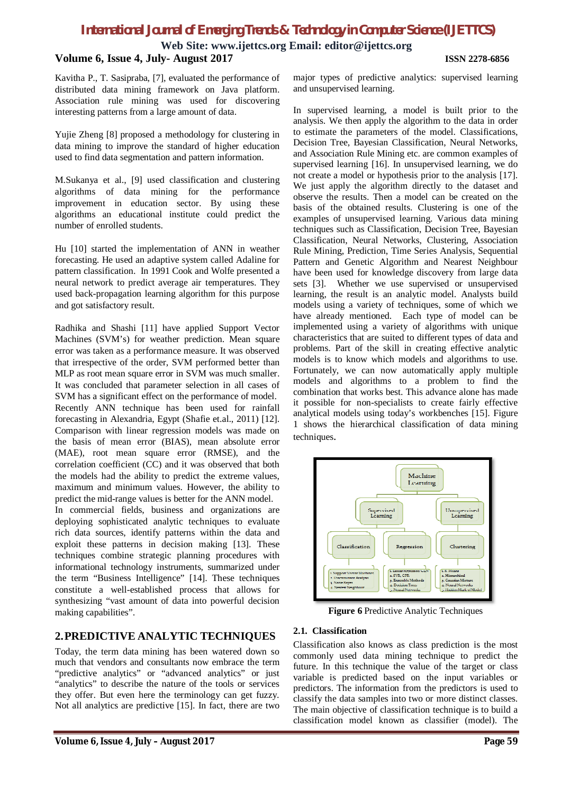**Web Site: www.ijettcs.org Email: editor@ijettcs.org**

# **Volume 6, Issue 4, July- August 2017 ISSN 2278-6856**

Kavitha P., T. Sasipraba, [7], evaluated the performance of distributed data mining framework on Java platform. Association rule mining was used for discovering interesting patterns from a large amount of data.

Yujie Zheng [8] proposed a methodology for clustering in data mining to improve the standard of higher education used to find data segmentation and pattern information.

M.Sukanya et al., [9] used classification and clustering algorithms of data mining for the performance improvement in education sector. By using these algorithms an educational institute could predict the number of enrolled students.

Hu [10] started the implementation of ANN in weather forecasting. He used an adaptive system called Adaline for pattern classification. In 1991 Cook and Wolfe presented a neural network to predict average air temperatures. They used back-propagation learning algorithm for this purpose and got satisfactory result.

Radhika and Shashi [11] have applied Support Vector Machines (SVM's) for weather prediction. Mean square error was taken as a performance measure. It was observed that irrespective of the order, SVM performed better than MLP as root mean square error in SVM was much smaller. It was concluded that parameter selection in all cases of SVM has a significant effect on the performance of model. Recently ANN technique has been used for rainfall forecasting in Alexandria, Egypt (Shafie et.al., 2011) [12]. Comparison with linear regression models was made on the basis of mean error (BIAS), mean absolute error (MAE), root mean square error (RMSE), and the correlation coefficient (CC) and it was observed that both the models had the ability to predict the extreme values, maximum and minimum values. However, the ability to predict the mid-range values is better for the ANN model.

In commercial fields, business and organizations are deploying sophisticated analytic techniques to evaluate rich data sources, identify patterns within the data and exploit these patterns in decision making [13]. These techniques combine strategic planning procedures with informational technology instruments, summarized under the term "Business Intelligence" [14]. These techniques constitute a well-established process that allows for synthesizing "vast amount of data into powerful decision making capabilities".

# **2.PREDICTIVE ANALYTIC TECHNIQUES**

Today, the term data mining has been watered down so much that vendors and consultants now embrace the term "predictive analytics" or "advanced analytics" or just "analytics" to describe the nature of the tools or services they offer. But even here the terminology can get fuzzy. Not all analytics are predictive [15]. In fact, there are two

major types of predictive analytics: supervised learning and unsupervised learning.

In supervised learning, a model is built prior to the analysis. We then apply the algorithm to the data in order to estimate the parameters of the model. Classifications, Decision Tree, Bayesian Classification, Neural Networks, and Association Rule Mining etc. are common examples of supervised learning [16]. In unsupervised learning, we do not create a model or hypothesis prior to the analysis [17]. We just apply the algorithm directly to the dataset and observe the results. Then a model can be created on the basis of the obtained results. Clustering is one of the examples of unsupervised learning. Various data mining techniques such as Classification, Decision Tree, Bayesian Classification, Neural Networks, Clustering, Association Rule Mining, Prediction, Time Series Analysis, Sequential Pattern and Genetic Algorithm and Nearest Neighbour have been used for knowledge discovery from large data sets [3]. Whether we use supervised or unsupervised learning, the result is an analytic model. Analysts build models using a variety of techniques, some of which we have already mentioned. Each type of model can be implemented using a variety of algorithms with unique characteristics that are suited to different types of data and problems. Part of the skill in creating effective analytic models is to know which models and algorithms to use. Fortunately, we can now automatically apply multiple models and algorithms to a problem to find the combination that works best. This advance alone has made it possible for non-specialists to create fairly effective analytical models using today's workbenches [15]. Figure 1 shows the hierarchical classification of data mining techniques.



**Figure 6** Predictive Analytic Techniques

### **2.1. Classification**

Classification also knows as class prediction is the most commonly used data mining technique to predict the future. In this technique the value of the target or class variable is predicted based on the input variables or predictors. The information from the predictors is used to classify the data samples into two or more distinct classes. The main objective of classification technique is to build a classification model known as classifier (model). The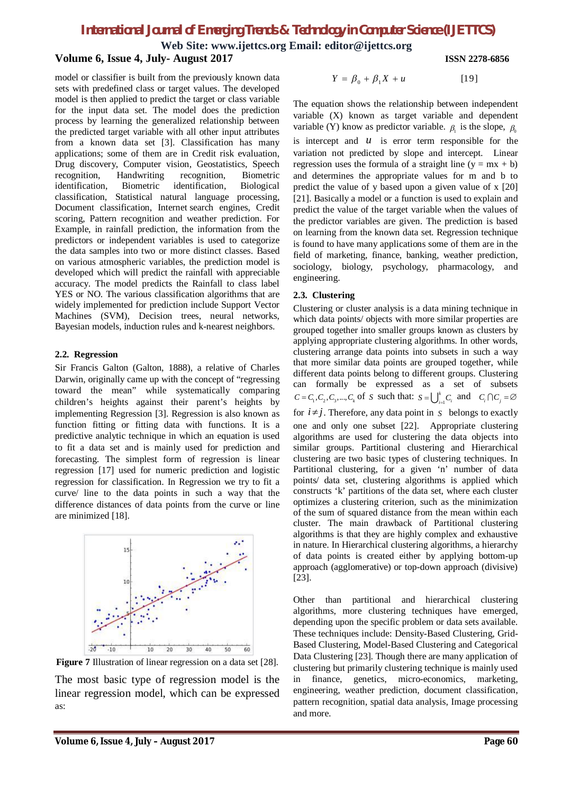**Web Site: www.ijettcs.org Email: editor@ijettcs.org**

# **Volume 6, Issue 4, July- August 2017 ISSN 2278-6856**

model or classifier is built from the previously known data sets with predefined class or target values. The developed model is then applied to predict the target or class variable for the input data set. The model does the prediction process by learning the generalized relationship between the predicted target variable with all other input attributes from a known data set [3]. Classification has many applications; some of them are in Credit risk evaluation, Drug discovery, Computer vision, Geostatistics, Speech recognition, Handwriting recognition, Biometric identification, Biometric identification, Biological classification, Statistical natural language processing, Document classification, Internet search engines, Credit scoring, Pattern recognition and weather prediction. For Example, in rainfall prediction, the information from the predictors or independent variables is used to categorize the data samples into two or more distinct classes. Based on various atmospheric variables, the prediction model is developed which will predict the rainfall with appreciable accuracy. The model predicts the Rainfall to class label YES or NO. The various classification algorithms that are widely implemented for prediction include Support Vector Machines (SVM), Decision trees, neural networks, Bayesian models, induction rules and k-nearest neighbors.

#### **2.2. Regression**

Sir Francis Galton (Galton, 1888), a relative of Charles Darwin, originally came up with the concept of "regressing toward the mean" while systematically comparing children's heights against their parent's heights by implementing Regression [3]. Regression is also known as function fitting or fitting data with functions. It is a predictive analytic technique in which an equation is used to fit a data set and is mainly used for prediction and forecasting. The simplest form of regression is linear regression [17] used for numeric prediction and logistic regression for classification. In Regression we try to fit a curve/ line to the data points in such a way that the difference distances of data points from the curve or line are minimized [18].



**Figure 7** Illustration of linear regression on a data set [28].

The most basic type of regression model is the linear regression model, which can be expressed as:

$$
Y = \beta_0 + \beta_1 X + u \qquad [19]
$$

The equation shows the relationship between independent variable (X) known as target variable and dependent variable (Y) know as predictor variable.  $\beta_1$  is the slope,  $\beta_0$ is intercept and  $u$  is error term responsible for the variation not predicted by slope and intercept. Linear regression uses the formula of a straight line  $(y = mx + b)$ and determines the appropriate values for m and b to predict the value of y based upon a given value of x [20] [21]. Basically a model or a function is used to explain and predict the value of the target variable when the values of the predictor variables are given. The prediction is based on learning from the known data set. Regression technique is found to have many applications some of them are in the field of marketing, finance, banking, weather prediction, sociology, biology, psychology, pharmacology, and engineering.

### **2.3. Clustering**

Clustering or cluster analysis is a data mining technique in which data points/ objects with more similar properties are grouped together into smaller groups known as clusters by applying appropriate clustering algorithms. In other words, clustering arrange data points into subsets in such a way that more similar data points are grouped together, while different data points belong to different groups. Clustering can formally be expressed as a set of subsets  $C = C_1, C_2, C_3, \dots, C_k$  of *S* such that:  $S = \bigcup_{i=1}^k C_i$  and  $C_i \cap C_j = \emptyset$ for  $i \neq j$ . Therefore, any data point in *S* belongs to exactly one and only one subset [22]. Appropriate clustering algorithms are used for clustering the data objects into similar groups. Partitional clustering and Hierarchical clustering are two basic types of clustering techniques. In Partitional clustering, for a given 'n' number of data points/ data set, clustering algorithms is applied which constructs 'k' partitions of the data set, where each cluster optimizes a clustering criterion, such as the minimization of the sum of squared distance from the mean within each cluster. The main drawback of Partitional clustering algorithms is that they are highly complex and exhaustive in nature. In Hierarchical clustering algorithms, a hierarchy of data points is created either by applying bottom-up approach (agglomerative) or top-down approach (divisive) [23].

Other than partitional and hierarchical clustering algorithms, more clustering techniques have emerged, depending upon the specific problem or data sets available. These techniques include: Density-Based Clustering, Grid-Based Clustering, Model-Based Clustering and Categorical Data Clustering [23]. Though there are many application of clustering but primarily clustering technique is mainly used in finance, genetics, micro-economics, marketing, engineering, weather prediction, document classification, pattern recognition, spatial data analysis, Image processing and more.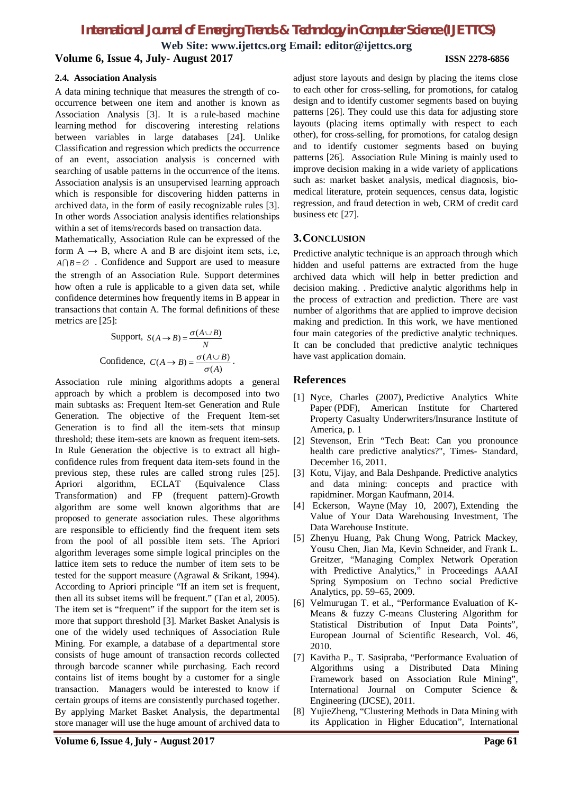**Web Site: www.ijettcs.org Email: editor@ijettcs.org Volume 6, Issue 4, July- August 2017 ISSN 2278-6856**

#### **2.4. Association Analysis**

A data mining technique that measures the strength of cooccurrence between one item and another is known as Association Analysis [3]. It is a rule-based machine learning method for discovering interesting relations between variables in large databases [24]. Unlike Classification and regression which predicts the occurrence of an event, association analysis is concerned with searching of usable patterns in the occurrence of the items. Association analysis is an unsupervised learning approach which is responsible for discovering hidden patterns in archived data, in the form of easily recognizable rules [3]. In other words Association analysis identifies relationships within a set of items/records based on transaction data.

Mathematically, Association Rule can be expressed of the form  $A \rightarrow B$ , where A and B are disjoint item sets, i.e,  $A \cap B = \emptyset$  . Confidence and Support are used to measure the strength of an Association Rule. Support determines how often a rule is applicable to a given data set, while confidence determines how frequently items in B appear in transactions that contain A. The formal definitions of these metrics are [25]:

Support, 
$$
S(A \to B) = \frac{\sigma(A \cup B)}{N}
$$
  
Confidence,  $C(A \to B) = \frac{\sigma(A \cup B)}{\sigma(A)}$ .

Association rule mining algorithms adopts a general approach by which a problem is decomposed into two main subtasks as: Frequent Item-set Generation and Rule Generation. The objective of the Frequent Item-set Generation is to find all the item-sets that minsup threshold; these item-sets are known as frequent item-sets. In Rule Generation the objective is to extract all highconfidence rules from frequent data item-sets found in the previous step, these rules are called strong rules [25]. Apriori algorithm, ECLAT (Equivalence Class Transformation) and FP (frequent pattern)-Growth algorithm are some well known algorithms that are proposed to generate association rules. These algorithms are responsible to efficiently find the frequent item sets from the pool of all possible item sets. The Apriori algorithm leverages some simple logical principles on the lattice item sets to reduce the number of item sets to be tested for the support measure (Agrawal & Srikant, 1994). According to Apriori principle "If an item set is frequent, then all its subset items will be frequent." (Tan et al, 2005). The item set is "frequent" if the support for the item set is more that support threshold [3]. Market Basket Analysis is one of the widely used techniques of Association Rule Mining. For example, a database of a departmental store consists of huge amount of transaction records collected through barcode scanner while purchasing. Each record contains list of items bought by a customer for a single transaction. Managers would be interested to know if certain groups of items are consistently purchased together. By applying Market Basket Analysis, the departmental store manager will use the huge amount of archived data to

adjust store layouts and design by placing the items close to each other for cross-selling, for promotions, for catalog design and to identify customer segments based on buying patterns [26]. They could use this data for adjusting store layouts (placing items optimally with respect to each other), for cross-selling, for promotions, for catalog design and to identify customer segments based on buying patterns [26]. Association Rule Mining is mainly used to improve decision making in a wide variety of applications such as: market basket analysis, medical diagnosis, biomedical literature, protein sequences, census data, logistic regression, and fraud detection in web, CRM of credit card business etc [27].

## **3.CONCLUSION**

Predictive analytic technique is an approach through which hidden and useful patterns are extracted from the huge archived data which will help in better prediction and decision making. . Predictive analytic algorithms help in the process of extraction and prediction. There are vast number of algorithms that are applied to improve decision making and prediction. In this work, we have mentioned four main categories of the predictive analytic techniques. It can be concluded that predictive analytic techniques have vast application domain.

#### **References**

- [1] Nyce, Charles (2007), Predictive Analytics White Paper (PDF), American Institute for Chartered Property Casualty Underwriters/Insurance Institute of America, p. 1
- [2] Stevenson, Erin "Tech Beat: Can you pronounce health care predictive analytics?", Times- Standard, December 16, 2011.
- [3] Kotu, Vijay, and Bala Deshpande. Predictive analytics and data mining: concepts and practice with rapidminer. Morgan Kaufmann, 2014.
- [4] Eckerson, Wayne (May 10, 2007), Extending the Value of Your Data Warehousing Investment, The Data Warehouse Institute.
- [5] Zhenyu Huang, Pak Chung Wong, Patrick Mackey, Yousu Chen, Jian Ma, Kevin Schneider, and Frank L. Greitzer, "Managing Complex Network Operation with Predictive Analytics," in Proceedings AAAI Spring Symposium on Techno social Predictive Analytics, pp. 59–65, 2009.
- [6] Velmurugan T. et al., "Performance Evaluation of K-Means & fuzzy C-means Clustering Algorithm for Statistical Distribution of Input Data Points", European Journal of Scientific Research, Vol. 46, 2010.
- [7] Kavitha P., T. Sasipraba, "Performance Evaluation of Algorithms using a Distributed Data Mining Framework based on Association Rule Mining", International Journal on Computer Science & Engineering (IJCSE), 2011.
- [8] YujieZheng, "Clustering Methods in Data Mining with its Application in Higher Education", International